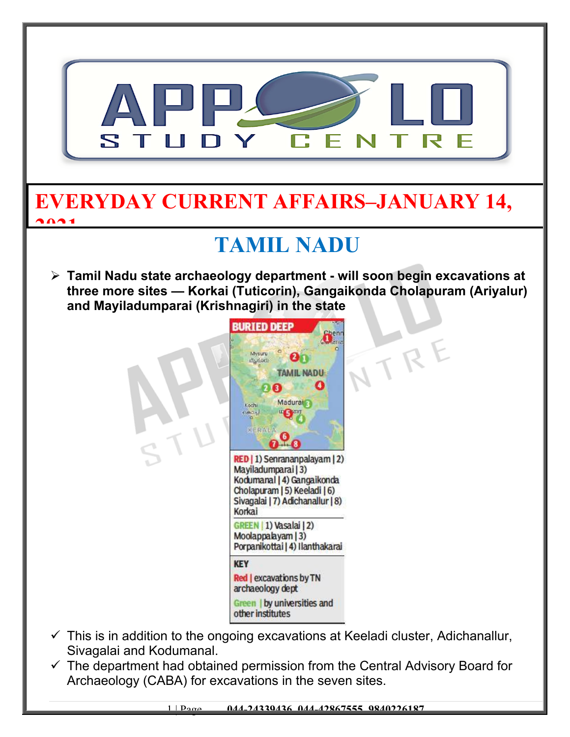

 $\checkmark$  The department had obtained permission from the Central Advisory Board for Archaeology (CABA) for excavations in the seven sites.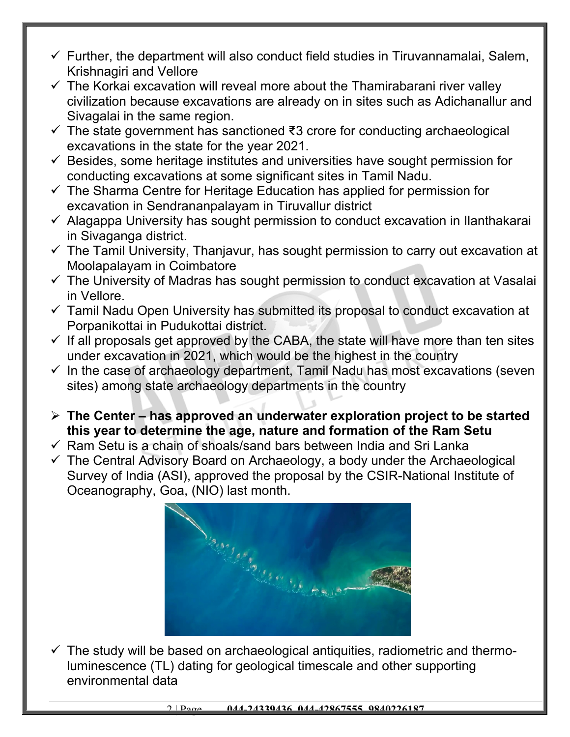- $\checkmark$  Further, the department will also conduct field studies in Tiruvannamalai, Salem, Krishnagiri and Vellore
- $\checkmark$  The Korkai excavation will reveal more about the Thamirabarani river valley civilization because excavations are already on in sites such as Adichanallur and Sivagalai in the same region.
- The state government has sanctioned ₹3 crore for conducting archaeological excavations in the state for the year 2021.
- $\checkmark$  Besides, some heritage institutes and universities have sought permission for conducting excavations at some significant sites in Tamil Nadu.
- $\checkmark$  The Sharma Centre for Heritage Education has applied for permission for excavation in Sendrananpalayam in Tiruvallur district
- $\checkmark$  Alagappa University has sought permission to conduct excavation in Ilanthakarai in Sivaganga district.
- $\checkmark$  The Tamil University, Thanjavur, has sought permission to carry out excavation at Moolapalayam in Coimbatore
- $\checkmark$  The University of Madras has sought permission to conduct excavation at Vasalai in Vellore.
- $\checkmark$  Tamil Nadu Open University has submitted its proposal to conduct excavation at Porpanikottai in Pudukottai district.
- $\checkmark$  If all proposals get approved by the CABA, the state will have more than ten sites under excavation in 2021, which would be the highest in the country
- $\checkmark$  In the case of archaeology department, Tamil Nadu has most excavations (seven sites) among state archaeology departments in the country
- **The Center has approved an underwater exploration project to be started this year to determine the age, nature and formation of the Ram Setu**
- $\checkmark$  Ram Setu is a chain of shoals/sand bars between India and Sri Lanka
- $\checkmark$  The Central Advisory Board on Archaeology, a body under the Archaeological Survey of India (ASI), approved the proposal by the CSIR-National Institute of Oceanography, Goa, (NIO) last month.



 $\checkmark$  The study will be based on archaeological antiquities, radiometric and thermoluminescence (TL) dating for geological timescale and other supporting environmental data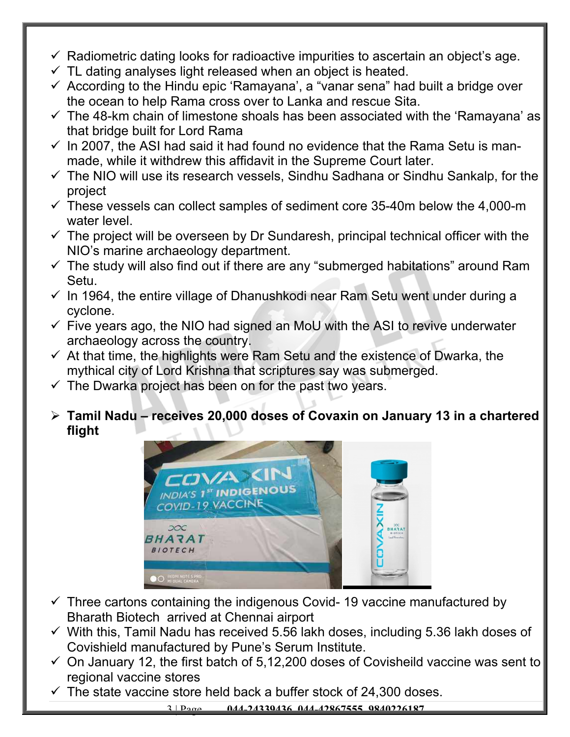- $\checkmark$  Radiometric dating looks for radioactive impurities to ascertain an object's age.
- $\checkmark$  TL dating analyses light released when an object is heated.
- $\checkmark$  According to the Hindu epic 'Ramayana', a "vanar sena" had built a bridge over the ocean to help Rama cross over to Lanka and rescue Sita.
- $\checkmark$  The 48-km chain of limestone shoals has been associated with the 'Ramayana' as that bridge built for Lord Rama
- $\checkmark$  In 2007, the ASI had said it had found no evidence that the Rama Setu is manmade, while it withdrew this affidavit in the Supreme Court later.
- $\checkmark$  The NIO will use its research vessels, Sindhu Sadhana or Sindhu Sankalp, for the project
- $\checkmark$  These vessels can collect samples of sediment core 35-40m below the 4,000-m water level.
- $\checkmark$  The project will be overseen by Dr Sundaresh, principal technical officer with the NIO's marine archaeology department.
- $\checkmark$  The study will also find out if there are any "submerged habitations" around Ram Setu.
- $\checkmark$  In 1964, the entire village of Dhanushkodi near Ram Setu went under during a cyclone.
- $\checkmark$  Five years ago, the NIO had signed an MoU with the ASI to revive underwater archaeology across the country.
- $\checkmark$  At that time, the highlights were Ram Setu and the existence of Dwarka, the mythical city of Lord Krishna that scriptures say was submerged.
- $\checkmark$  The Dwarka project has been on for the past two years.
- **Tamil Nadu receives 20,000 doses of Covaxin on January 13 in a chartered flight**



- $\checkmark$  Three cartons containing the indigenous Covid- 19 vaccine manufactured by Bharath Biotech arrived at Chennai airport
- $\checkmark$  With this, Tamil Nadu has received 5.56 lakh doses, including 5.36 lakh doses of Covishield manufactured by Pune's Serum Institute.
- $\checkmark$  On January 12, the first batch of 5,12,200 doses of Covisheild vaccine was sent to regional vaccine stores
- $\checkmark$  The state vaccine store held back a buffer stock of 24,300 doses.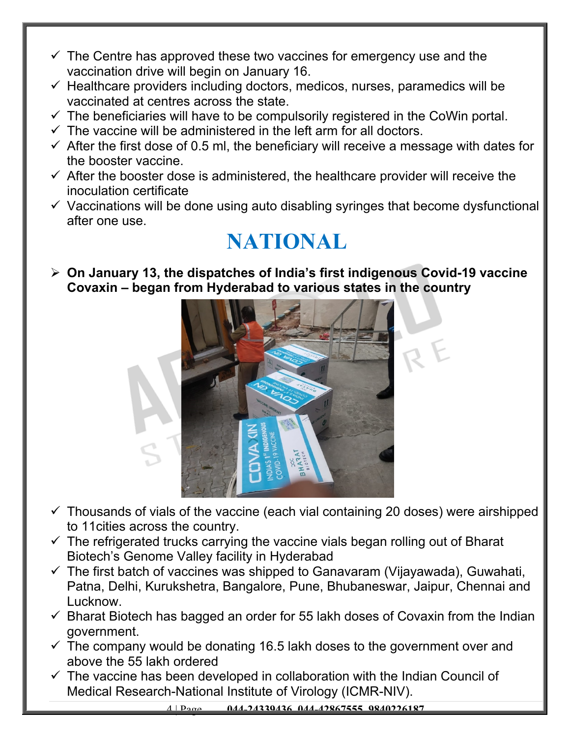- $\checkmark$  The Centre has approved these two vaccines for emergency use and the vaccination drive will begin on January 16.
- $\checkmark$  Healthcare providers including doctors, medicos, nurses, paramedics will be vaccinated at centres across the state.
- $\checkmark$  The beneficiaries will have to be compulsorily registered in the CoWin portal.
- $\checkmark$  The vaccine will be administered in the left arm for all doctors.
- $\checkmark$  After the first dose of 0.5 ml, the beneficiary will receive a message with dates for the booster vaccine.
- $\checkmark$  After the booster dose is administered, the healthcare provider will receive the inoculation certificate
- $\checkmark$  Vaccinations will be done using auto disabling syringes that become dysfunctional after one use.

## **NATIONAL**

 **On January 13, the dispatches of India's first indigenous Covid-19 vaccine Covaxin – began from Hyderabad to various states in the country**



- $\checkmark$  Thousands of vials of the vaccine (each vial containing 20 doses) were airshipped to 11cities across the country.
- $\checkmark$  The refrigerated trucks carrying the vaccine vials began rolling out of Bharat Biotech's Genome Valley facility in Hyderabad
- $\checkmark$  The first batch of vaccines was shipped to Ganavaram (Vijayawada), Guwahati, Patna, Delhi, Kurukshetra, Bangalore, Pune, Bhubaneswar, Jaipur, Chennai and Lucknow.
- $\checkmark$  Bharat Biotech has bagged an order for 55 lakh doses of Covaxin from the Indian government.
- $\checkmark$  The company would be donating 16.5 lakh doses to the government over and above the 55 lakh ordered
- $\checkmark$  The vaccine has been developed in collaboration with the Indian Council of Medical Research-National Institute of Virology (ICMR-NIV).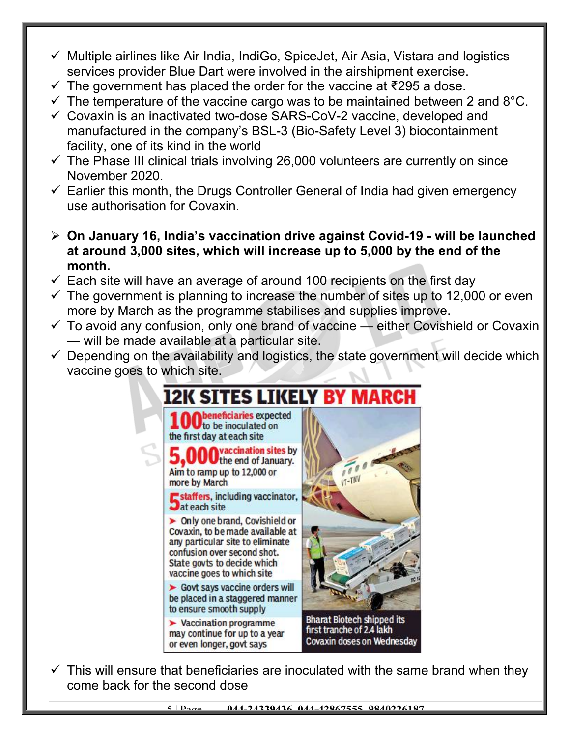- $\checkmark$  Multiple airlines like Air India, IndiGo, SpiceJet, Air Asia, Vistara and logistics services provider Blue Dart were involved in the airshipment exercise.
- $\checkmark$  The government has placed the order for the vaccine at ₹295 a dose.
- $\checkmark$  The temperature of the vaccine cargo was to be maintained between 2 and 8°C.
- $\checkmark$  Covaxin is an inactivated two-dose SARS-CoV-2 vaccine, developed and manufactured in the company's BSL-3 (Bio-Safety Level 3) biocontainment facility, one of its kind in the world
- $\checkmark$  The Phase III clinical trials involving 26,000 volunteers are currently on since November 2020.
- $\checkmark$  Earlier this month, the Drugs Controller General of India had given emergency use authorisation for Covaxin.
- **On January 16, India's vaccination drive against Covid-19 will be launched at around 3,000 sites, which will increase up to 5,000 by the end of the month.**
- $\checkmark$  Each site will have an average of around 100 recipients on the first day
- $\checkmark$  The government is planning to increase the number of sites up to 12,000 or even more by March as the programme stabilises and supplies improve.
- $\checkmark$  To avoid any confusion, only one brand of vaccine either Covishield or Covaxin — will be made available at a particular site.
- $\checkmark$  Depending on the availability and logistics, the state government will decide which vaccine goes to which site.



 $\checkmark$  This will ensure that beneficiaries are inoculated with the same brand when they come back for the second dose

5 | Page **044-24339436, 044-42867555, 9840226187**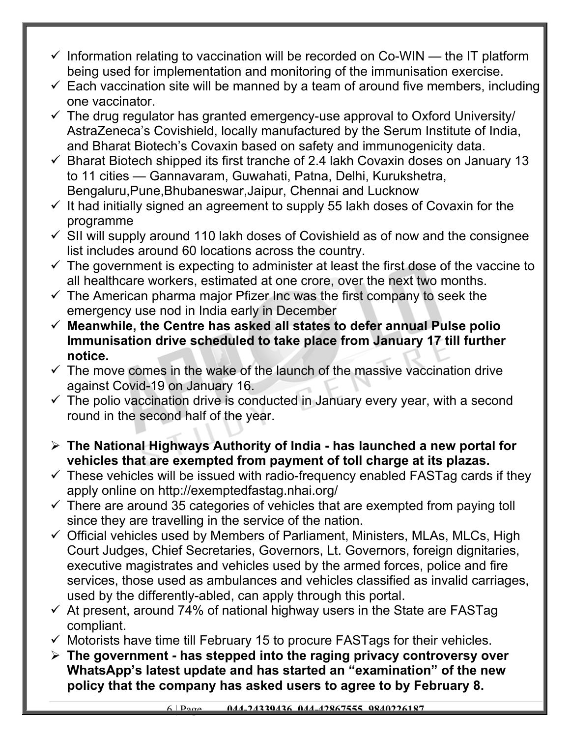- $\checkmark$  Information relating to vaccination will be recorded on Co-WIN the IT platform being used for implementation and monitoring of the immunisation exercise.
- $\checkmark$  Each vaccination site will be manned by a team of around five members, including one vaccinator.
- $\checkmark$  The drug regulator has granted emergency-use approval to Oxford University/ AstraZeneca's Covishield, locally manufactured by the Serum Institute of India, and Bharat Biotech's Covaxin based on safety and immunogenicity data.
- $\checkmark$  Bharat Biotech shipped its first tranche of 2.4 lakh Covaxin doses on January 13 to 11 cities — Gannavaram, Guwahati, Patna, Delhi, Kurukshetra, Bengaluru,Pune,Bhubaneswar,Jaipur, Chennai and Lucknow
- $\checkmark$  It had initially signed an agreement to supply 55 lakh doses of Covaxin for the programme
- $\checkmark$  SII will supply around 110 lakh doses of Covishield as of now and the consignee list includes around 60 locations across the country.
- $\checkmark$  The government is expecting to administer at least the first dose of the vaccine to all healthcare workers, estimated at one crore, over the next two months.
- $\checkmark$  The American pharma major Pfizer Inc was the first company to seek the emergency use nod in India early in December
- **Meanwhile, the Centre has asked all states to defer annual Pulse polio Immunisation drive scheduled to take place from January 17 till further notice.**
- $\checkmark$  The move comes in the wake of the launch of the massive vaccination drive against Covid-19 on January 16.
- $\checkmark$  The polio vaccination drive is conducted in January every year, with a second round in the second half of the year.
- **The National Highways Authority of India has launched a new portal for vehicles that are exempted from payment of toll charge at its plazas.**
- $\checkmark$  These vehicles will be issued with radio-frequency enabled FASTag cards if they apply online on http://exemptedfastag.nhai.org/
- $\checkmark$  There are around 35 categories of vehicles that are exempted from paying toll since they are travelling in the service of the nation.
- $\checkmark$  Official vehicles used by Members of Parliament, Ministers, MLAs, MLCs, High Court Judges, Chief Secretaries, Governors, Lt. Governors, foreign dignitaries, executive magistrates and vehicles used by the armed forces, police and fire services, those used as ambulances and vehicles classified as invalid carriages, used by the differently-abled, can apply through this portal.
- $\checkmark$  At present, around 74% of national highway users in the State are FASTag compliant.
- $\checkmark$  Motorists have time till February 15 to procure FASTags for their vehicles.
- **The government has stepped into the raging privacy controversy over WhatsApp's latest update and has started an "examination" of the new policy that the company has asked users to agree to by February 8.**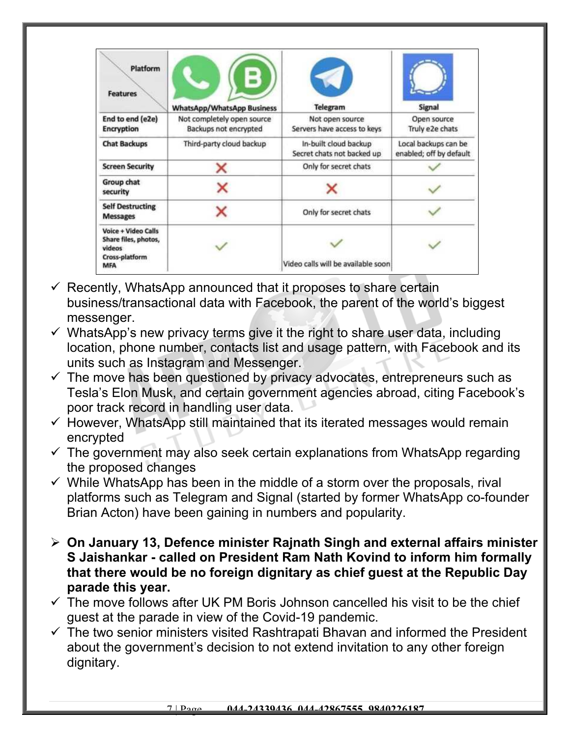| Platform<br><b>Features</b>                                                                  | <b>WhatsApp/WhatsApp Business</b>                   | Telegram                                            | <b>Signal</b>                                   |
|----------------------------------------------------------------------------------------------|-----------------------------------------------------|-----------------------------------------------------|-------------------------------------------------|
| End to end (e2e)<br><b>Encryption</b>                                                        | Not completely open source<br>Backups not encrypted | Not open source<br>Servers have access to keys      | Open source<br>Truly e2e chats                  |
| <b>Chat Backups</b>                                                                          | Third-party cloud backup                            | In-built cloud backup<br>Secret chats not backed up | Local backups can be<br>enabled; off by default |
| <b>Screen Security</b>                                                                       | ×                                                   | Only for secret chats                               |                                                 |
| Group chat<br>security                                                                       |                                                     |                                                     |                                                 |
| <b>Self Destructing</b><br><b>Messages</b>                                                   |                                                     | Only for secret chats                               |                                                 |
| <b>Voice + Video Calls</b><br>Share files, photos,<br>videos<br>Cross-platform<br><b>MFA</b> |                                                     | Video calls will be available soon                  |                                                 |

- $\checkmark$  Recently, WhatsApp announced that it proposes to share certain business/transactional data with Facebook, the parent of the world's biggest messenger.
- $\checkmark$  WhatsApp's new privacy terms give it the right to share user data, including location, phone number, contacts list and usage pattern, with Facebook and its units such as Instagram and Messenger.
- $\checkmark$  The move has been questioned by privacy advocates, entrepreneurs such as Tesla's Elon Musk, and certain government agencies abroad, citing Facebook's poor track record in handling user data.
- $\checkmark$  However, WhatsApp still maintained that its iterated messages would remain encrypted
- $\checkmark$  The government may also seek certain explanations from WhatsApp regarding the proposed changes
- $\checkmark$  While WhatsApp has been in the middle of a storm over the proposals, rival platforms such as Telegram and Signal (started by former WhatsApp co-founder Brian Acton) have been gaining in numbers and popularity.
- **On January 13, Defence minister Rajnath Singh and external affairs minister S Jaishankar - called on President Ram Nath Kovind to inform him formally that there would be no foreign dignitary as chief guest at the Republic Day parade this year.**
- $\checkmark$  The move follows after UK PM Boris Johnson cancelled his visit to be the chief guest at the parade in view of the Covid-19 pandemic.
- $\checkmark$  The two senior ministers visited Rashtrapati Bhavan and informed the President about the government's decision to not extend invitation to any other foreign dignitary.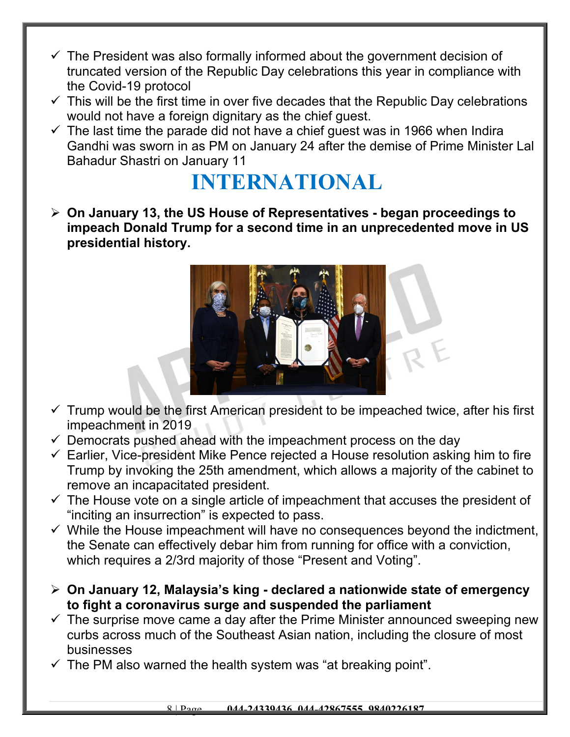- $\checkmark$  The President was also formally informed about the government decision of truncated version of the Republic Day celebrations this year in compliance with the Covid-19 protocol
- $\checkmark$  This will be the first time in over five decades that the Republic Day celebrations would not have a foreign dignitary as the chief guest.
- $\checkmark$  The last time the parade did not have a chief guest was in 1966 when Indira Gandhi was sworn in as PM on January 24 after the demise of Prime Minister Lal Bahadur Shastri on January 11

## **INTERNATIONAL**

 **On January 13, the US House of Representatives - began proceedings to impeach Donald Trump for a second time in an unprecedented move in US presidential history.** 



- $\checkmark$  Trump would be the first American president to be impeached twice, after his first impeachment in 2019
- $\checkmark$  Democrats pushed ahead with the impeachment process on the day
- $\checkmark$  Earlier, Vice-president Mike Pence rejected a House resolution asking him to fire Trump by invoking the 25th amendment, which allows a majority of the cabinet to remove an incapacitated president.
- $\checkmark$  The House vote on a single article of impeachment that accuses the president of "inciting an insurrection" is expected to pass.
- $\checkmark$  While the House impeachment will have no consequences beyond the indictment, the Senate can effectively debar him from running for office with a conviction, which requires a 2/3rd majority of those "Present and Voting".
- **On January 12, Malaysia's king declared a nationwide state of emergency to fight a coronavirus surge and suspended the parliament**
- $\checkmark$  The surprise move came a day after the Prime Minister announced sweeping new curbs across much of the Southeast Asian nation, including the closure of most businesses
- $\checkmark$  The PM also warned the health system was "at breaking point".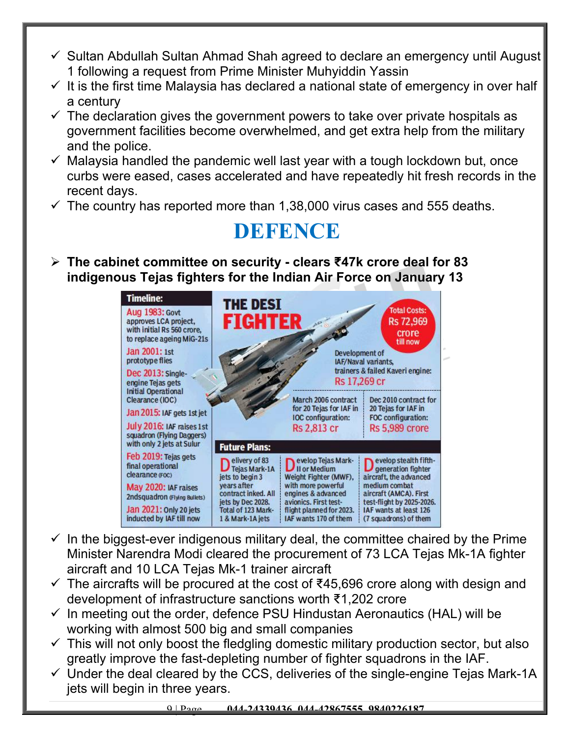- $\checkmark$  Sultan Abdullah Sultan Ahmad Shah agreed to declare an emergency until August 1 following a request from Prime Minister Muhyiddin Yassin
- $\checkmark$  It is the first time Malaysia has declared a national state of emergency in over half a century
- $\checkmark$  The declaration gives the government powers to take over private hospitals as government facilities become overwhelmed, and get extra help from the military and the police.
- $\checkmark$  Malaysia handled the pandemic well last year with a tough lockdown but, once curbs were eased, cases accelerated and have repeatedly hit fresh records in the recent days.
- $\checkmark$  The country has reported more than 1,38,000 virus cases and 555 deaths.

## **DEFENCE**

 **The cabinet committee on security - clears ₹47k crore deal for 83 indigenous Tejas fighters for the Indian Air Force on January 13**



- $\checkmark$  In the biggest-ever indigenous military deal, the committee chaired by the Prime Minister Narendra Modi cleared the procurement of 73 LCA Tejas Mk-1A fighter aircraft and 10 LCA Tejas Mk-1 trainer aircraft
- $\checkmark$  The aircrafts will be procured at the cost of ₹45,696 crore along with design and development of infrastructure sanctions worth ₹1,202 crore
- $\checkmark$  In meeting out the order, defence PSU Hindustan Aeronautics (HAL) will be working with almost 500 big and small companies
- $\checkmark$  This will not only boost the fledgling domestic military production sector, but also greatly improve the fast-depleting number of fighter squadrons in the IAF.
- $\checkmark$  Under the deal cleared by the CCS, deliveries of the single-engine Tejas Mark-1A jets will begin in three years.